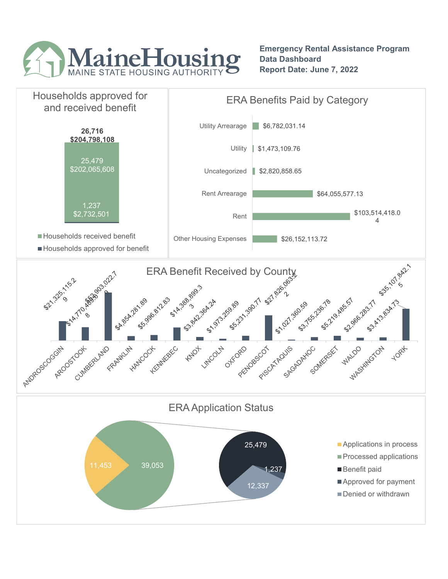

Emergency Rental Assistance Program Data Dashboard Report Date: June 7, 2022